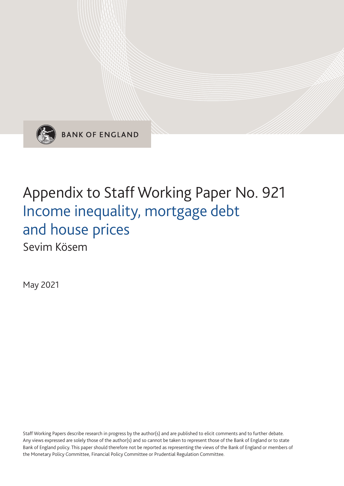

**BANK OF ENGLAND** 

# Appendix to Staff Working Paper No. 921 Income inequality, mortgage debt and house prices

Sevim Kösem

May 2021

Staff Working Papers describe research in progress by the author(s) and are published to elicit comments and to further debate. Any views expressed are solely those of the author(s) and so cannot be taken to represent those of the Bank of England or to state Bank of England policy. This paper should therefore not be reported as representing the views of the Bank of England or members of the Monetary Policy Committee, Financial Policy Committee or Prudential Regulation Committee.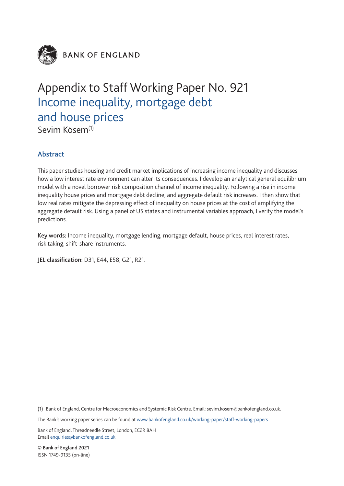

**BANK OF ENGLAND** 

## Appendix to Staff Working Paper No. 921 Income inequality, mortgage debt and house prices

Sevim Kösem<sup>(1)</sup>

### Abstract

This paper studies housing and credit market implications of increasing income inequality and discusses how a low interest rate environment can alter its consequences. I develop an analytical general equilibrium model with a novel borrower risk composition channel of income inequality. Following a rise in income inequality house prices and mortgage debt decline, and aggregate default risk increases. I then show that low real rates mitigate the depressing effect of inequality on house prices at the cost of amplifying the aggregate default risk. Using a panel of US states and instrumental variables approach, I verify the model's predictions.

Key words: Income inequality, mortgage lending, mortgage default, house prices, real interest rates, risk taking, shift-share instruments.

JEL classification: D31, E44, E58, G21, R21.

(1) Bank of England, Centre for Macroeconomics and Systemic Risk Centre. Email: sevim.kosem@bankofengland.co.uk.

The Bank's working paper series can be found at www.bankofengland.co.uk/working-paper/staff-working-papers

Bank of England, Threadneedle Street, London, EC2R 8AH Email enquiries@bankofengland.co.uk

© Bank of England 2021 ISSN 1749-9135 (on-line)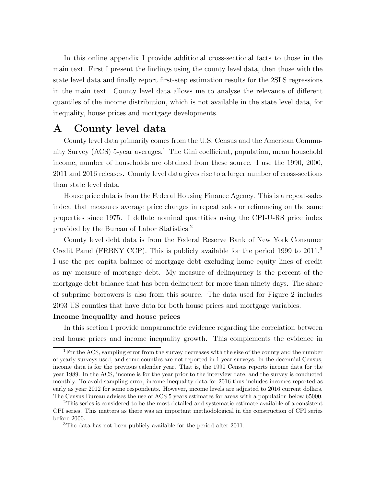In this online appendix I provide additional cross-sectional facts to those in the main text. First I present the findings using the county level data, then those with the state level data and finally report first-step estimation results for the 2SLS regressions in the main text. County level data allows me to analyse the relevance of different quantiles of the income distribution, which is not available in the state level data, for inequality, house prices and mortgage developments.

## A County level data

 County level data primarily comes from the U.S. Census and the American Community Survey (ACS) 5-year averages.<sup>1</sup> The Gini coefficient, population, mean household income, number of households are obtained from these source. I use the 1990, 2000, 2011 and 2016 releases. County level data gives rise to a larger number of cross-sections than state level data.

 House price data is from the Federal Housing Finance Agency. This is a repeat-sales index, that measures average price changes in repeat sales or refinancing on the same properties since 1975. I deflate nominal quantities using the CPI-U-RS price index provided by the Bureau of Labor Statistics.<sup>2</sup>

 County level debt data is from the Federal Reserve Bank of New York Consumer Credit Panel (FRBNY CCP). This is publicly available for the period 1999 to 2011.<sup>3</sup> I use the per capita balance of mortgage debt excluding home equity lines of credit as my measure of mortgage debt. My measure of delinquency is the percent of the mortgage debt balance that has been delinquent for more than ninety days. The share of subprime borrowers is also from this source. The data used for Figure 2 includes 2093 US counties that have data for both house prices and mortgage variables.

#### Income inequality and house prices

 In this section I provide nonparametric evidence regarding the correlation between real house prices and income inequality growth. This complements the evidence in

<sup>&</sup>lt;sup>1</sup>For the ACS, sampling error from the survey decreases with the size of the county and the number of yearly surveys used, and some counties are not reported in 1 year surveys. In the decennial Census, income data is for the previous calender year. That is, the 1990 Census reports income data for the year 1989. In the ACS, income is for the year prior to the interview date, and the survey is conducted monthly. To avoid sampling error, income inequality data for 2016 thus includes incomes reported as early as year 2012 for some respondents. However, income levels are adjusted to 2016 current dollars. The Census Bureau advises the use of ACS 5 years estimates for areas with a population below 65000.

 $2$ This series is considered to be the most detailed and systematic estimate available of a consistent CPI series. This matters as there was an important methodological in the construction of CPI series before 2000.

<sup>&</sup>lt;sup>3</sup>The data has not been publicly available for the period after 2011.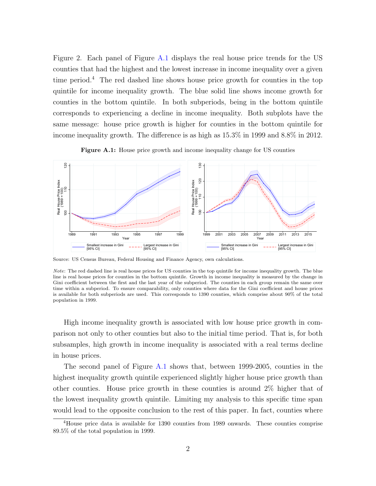Figure 2. Each panel of Figure [A.1](#page-3-0) displays the real house price trends for the US counties that had the highest and the lowest increase in income inequality over a given time period.<sup>4</sup> The red dashed line shows house price growth for counties in the top quintile for income inequality growth. The blue solid line shows income growth for counties in the bottom quintile. In both subperiods, being in the bottom quintile corresponds to experiencing a decline in income inequality. Both subplots have the same message: house price growth is higher for counties in the bottom quintile for income inequality growth. The difference is as high as 15.3% in 1999 and 8.8% in 2012.

<span id="page-3-0"></span>

Figure A.1: House price growth and income inequality change for US counties

Source: US Census Bureau, Federal Housing and Finance Agency, own calculations.

 High income inequality growth is associated with low house price growth in com- parison not only to other counties but also to the initial time period. That is, for both subsamples, high growth in income inequality is associated with a real terms decline in house prices.

 The second panel of Figure [A.1](#page-3-0) shows that, between 1999-2005, counties in the highest inequality growth quintile experienced slightly higher house price growth than other counties. House price growth in these counties is around 2% higher that of the lowest inequality growth quintile. Limiting my analysis to this specific time span would lead to the opposite conclusion to the rest of this paper. In fact, counties where

 Note: The red dashed line is real house prices for US counties in the top quintile for income inequality growth. The blue line is real house prices for counties in the bottom quintile. Growth in income inequality is measured by the change in Gini coefficient between the first and the last year of the subperiod. The counties in each group remain the same over time within a subperiod. To ensure comparability, only counties where data for the Gini coefficient and house prices is available for both subperiods are used. This corresponds to 1390 counties, which comprise about 90% of the total population in 1999.

<sup>&</sup>lt;sup>4</sup>House price data is available for 1390 counties from 1989 onwards. These counties comprise 89.5% of the total population in 1999.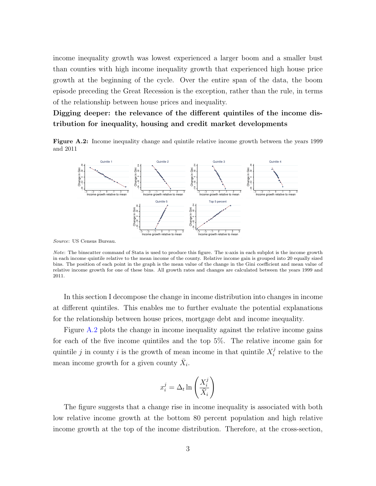income inequality growth was lowest experienced a larger boom and a smaller bust than counties with high income inequality growth that experienced high house price growth at the beginning of the cycle. Over the entire span of the data, the boom episode preceding the Great Recession is the exception, rather than the rule, in terms of the relationship between house prices and inequality.

Digging deeper: the relevance of the different quintiles of the income distribution for inequality, housing and credit market developments

Figure A.2: Income inequality change and quintile relative income growth between the years 1999 and 2011



Source: US Census Bureau.

Note: The binscatter command of Stata is used to produce this figure. The x-axis in each subplot is the income growth in each income quintile relative to the mean income of the county. Relative income gain is grouped into 20 equally sized bins. The position of each point in the graph is the mean value of the change in the Gini coefficient and mean value of relative income growth for one of these bins. All growth rates and changes are calculated between the years 1999 and 2011.

In this section I decompose the change in income distribution into changes in income at different quintiles. This enables me to further evaluate the potential explanations for the relationship between house prices, mortgage debt and income inequality.

Figure [A.2](#page--1-0) plots the change in income inequality against the relative income gains for each of the five income quintiles and the top 5%. The relative income gain for quintile j in county i is the growth of mean income in that quintile  $X_i^j$  $i$  relative to the mean income growth for a given county  $\bar{X}_i$ .

$$
x_i^j = \Delta_t \ln\left(\frac{X_i^j}{\bar{X}_i}\right)
$$

The figure suggests that a change rise in income inequality is associated with both low relative income growth at the bottom 80 percent population and high relative income growth at the top of the income distribution. Therefore, at the cross-section,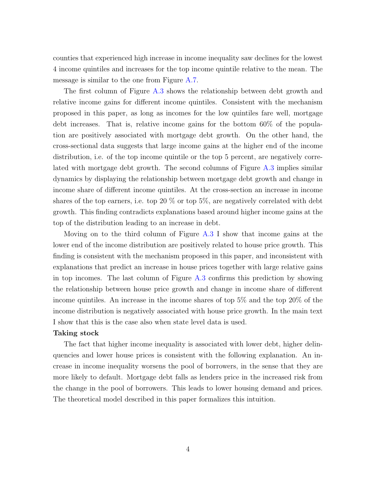counties that experienced high increase in income inequality saw declines for the lowest 4 income quintiles and increases for the top income quintile relative to the mean. The message is similar to the one from Figure [A.7.](#page-10-0)

 The first column of Figure [A.3](#page-6-0) shows the relationship between debt growth and relative income gains for different income quintiles. Consistent with the mechanism proposed in this paper, as long as incomes for the low quintiles fare well, mortgage debt increases. That is, relative income gains for the bottom 60% of the popula- tion are positively associated with mortgage debt growth. On the other hand, the cross-sectional data suggests that large income gains at the higher end of the income distribution, i.e. of the top income quintile or the top 5 percent, are negatively corre- lated with mortgage debt growth. The second columns of Figure [A.3](#page-6-0) implies similar dynamics by displaying the relationship between mortgage debt growth and change in income share of different income quintiles. At the cross-section an increase in income shares of the top earners, i.e. top 20 % or top 5%, are negatively correlated with debt growth. This finding contradicts explanations based around higher income gains at the top of the distribution leading to an increase in debt.

 Moving on to the third column of Figure [A.3](#page-6-0) I show that income gains at the lower end of the income distribution are positively related to house price growth. This finding is consistent with the mechanism proposed in this paper, and inconsistent with explanations that predict an increase in house prices together with large relative gains in top incomes. The last column of Figure [A.3](#page-6-0) confirms this prediction by showing the relationship between house price growth and change in income share of different income quintiles. An increase in the income shares of top 5% and the top 20% of the income distribution is negatively associated with house price growth. In the main text I show that this is the case also when state level data is used.

#### Taking stock

 The fact that higher income inequality is associated with lower debt, higher delin- quencies and lower house prices is consistent with the following explanation. An in- crease in income inequality worsens the pool of borrowers, in the sense that they are more likely to default. Mortgage debt falls as lenders price in the increased risk from the change in the pool of borrowers. This leads to lower housing demand and prices. The theoretical model described in this paper formalizes this intuition.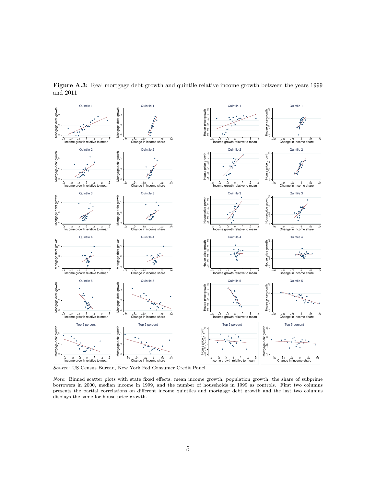

<span id="page-6-0"></span>Figure A.3: Real mortgage debt growth and quintile relative income growth between the years 1999 and 2011

Source: US Census Bureau, New York Fed Consumer Credit Panel.

 Note: Binned scatter plots with state fixed effects, mean income growth, population growth, the share of subprime borrowers in 2000, median income in 1999, and the number of households in 1999 as controls. First two columns presents the partial correlations on different income quintiles and mortgage debt growth and the last two columns displays the same for house price growth.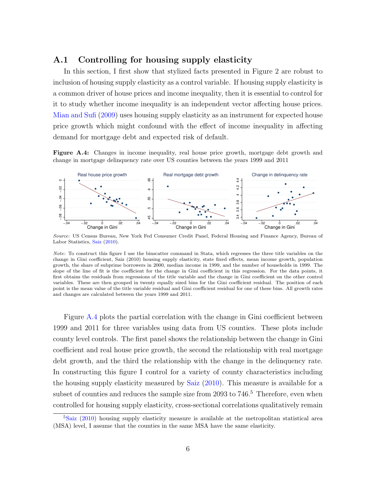#### A.1 Controlling for housing supply elasticity

 In this section, I first show that stylized facts presented in Figure 2 are robust to inclusion of housing supply elasticity as a control variable. If housing supply elasticity is a common driver of house prices and income inequality, then it is essential to control for it to study whether income inequality is an independent vector affecting house prices. [Mian and Sufi \(2009\)](#page-14-0) uses housing supply elasticity as an instrument for expected house price growth which might confound with the effect of income inequality in affecting demand for mortgage debt and expected risk of default.

<span id="page-7-0"></span>Figure A.4: Changes in income inequality, real house price growth, mortgage debt growth and change in mortgage delinquency rate over US counties between the years 1999 and 2011



Source: US Census Bureau, New York Fed Consumer Credit Panel, Federal Housing and Finance Agency, Bureau of Labor Statistics, [Saiz](#page-14-1) [\(2010\)](#page-14-1).

 Figure [A.4](#page-7-0) plots the partial correlation with the change in Gini coefficient between 1999 and 2011 for three variables using data from US counties. These plots include county level controls. The first panel shows the relationship between the change in Gini coefficient and real house price growth, the second the relationship with real mortgage debt growth, and the third the relationship with the change in the delinquency rate. In constructing this figure I control for a variety of county characteristics including the housing supply elasticity measured by [Saiz \(2010\)](#page-14-1). This measure is available for a subset of counties and reduces the sample size from 2093 to 746.<sup>5</sup> Therefore, even when controlled for housing supply elasticity, cross-sectional correlations qualitatively remain

 Note: To construct this figure I use the binscatter command in Stata, which regresses the three title variables on the change in Gini coefficient, Saiz (2010) housing supply elasticity, state fixed effects, mean income growth, population growth, the share of subprime borrowers in 2000, median income in 1999, and the number of households in 1999. The slope of the line of fit is the coefficient for the change in Gini coefficient in this regression. For the data points, it first obtains the residuals from regressions of the title variable and the change in Gini coefficient on the other control variables. These are then grouped in twenty equally sized bins for the Gini coefficient residual. The position of each point is the mean value of the title variable residual and Gini coefficient residual for one of these bins. All growth rates and changes are calculated between the years 1999 and 2011.

 $5$ [Saiz](#page-14-1) [\(2010\)](#page-14-1) housing supply elasticity measure is available at the metropolitan statistical area (MSA) level, I assume that the counties in the same MSA have the same elasticity.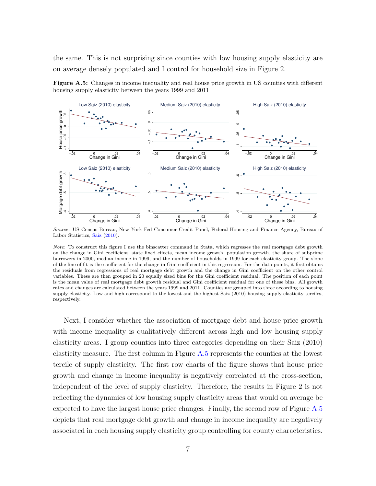the same. This is not surprising since counties with low housing supply elasticity are on average densely populated and I control for household size in Figure 2.

<span id="page-8-0"></span>Figure A.5: Changes in income inequality and real house price growth in US counties with different housing supply elasticity between the years 1999 and 2011



Source: US Census Bureau, New York Fed Consumer Credit Panel, Federal Housing and Finance Agency, Bureau of Labor Statistics, [Saiz](#page-14-1) [\(2010\)](#page-14-1).

 Note: To construct this figure I use the binscatter command in Stata, which regresses the real mortgage debt growth on the change in Gini coefficient, state fixed effects, mean income growth, population growth, the share of subprime borrowers in 2000, median income in 1999, and the number of households in 1999 for each elasticity group. The slope of the line of fit is the coefficient for the change in Gini coefficient in this regression. For the data points, it first obtains the residuals from regressions of real mortgage debt growth and the change in Gini coefficient on the other control variables. These are then grouped in 20 equally sized bins for the Gini coefficient residual. The position of each point is the mean value of real mortgage debt growth residual and Gini coefficient residual for one of these bins. All growth rates and changes are calculated between the years 1999 and 2011. Counties are grouped into three according to housing supply elasticity. Low and high correspond to the lowest and the highest Saiz (2010) housing supply elasticity terciles, respectively.

 Next, I consider whether the association of mortgage debt and house price growth with income inequality is qualitatively different across high and low housing supply elasticity areas. I group counties into three categories depending on their Saiz (2010) elasticity measure. The first column in Figure [A.5](#page-8-0) represents the counties at the lowest tercile of supply elasticity. The first row charts of the figure shows that house price growth and change in income inequality is negatively correlated at the cross-section, independent of the level of supply elasticity. Therefore, the results in Figure 2 is not reflecting the dynamics of low housing supply elasticity areas that would on average be expected to have the largest house price changes. Finally, the second row of Figure [A.5](#page-8-0)  depicts that real mortgage debt growth and change in income inequality are negatively associated in each housing supply elasticity group controlling for county characteristics.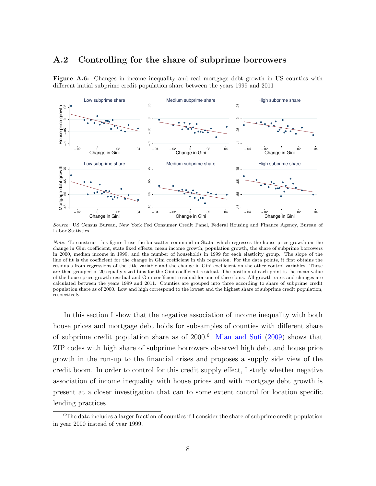#### A.2 Controlling for the share of subprime borrowers

<span id="page-9-0"></span>Figure A.6: Changes in income inequality and real mortgage debt growth in US counties with different initial subprime credit population share between the years 1999 and 2011



 Source: US Census Bureau, New York Fed Consumer Credit Panel, Federal Housing and Finance Agency, Bureau of Labor Statistics.

 In this section I show that the negative association of income inequality with both house prices and mortgage debt holds for subsamples of counties with different share of subprime credit population share as of  $2000<sup>6</sup>$  [Mian and Sufi \(2009\)](#page-14-0) shows that ZIP codes with high share of subprime borrowers observed high debt and house price growth in the run-up to the financial crises and proposes a supply side view of the credit boom. In order to control for this credit supply effect, I study whether negative association of income inequality with house prices and with mortgage debt growth is present at a closer investigation that can to some extent control for location specific lending practices.

 Note: To construct this figure I use the binscatter command in Stata, which regresses the house price growth on the change in Gini coefficient, state fixed effects, mean income growth, population growth, the share of subprime borrowers in 2000, median income in 1999, and the number of households in 1999 for each elasticity group. The slope of the line of fit is the coefficient for the change in Gini coefficient in this regression. For the data points, it first obtains the residuals from regressions of the title variable and the change in Gini coefficient on the other control variables. These are then grouped in 20 equally sized bins for the Gini coefficient residual. The position of each point is the mean value of the house price growth residual and Gini coefficient residual for one of these bins. All growth rates and changes are calculated between the years 1999 and 2011. Counties are grouped into three according to share of subprime credit population share as of 2000. Low and high correspond to the lowest and the highest share of subprime credit population, respectively.

 ${}^{6}$ The data includes a larger fraction of counties if I consider the share of subprime credit population in year 2000 instead of year 1999.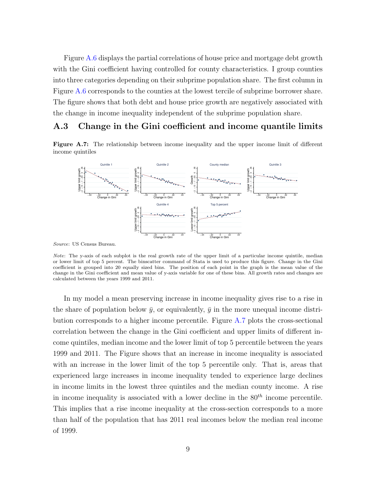Figure [A.6](#page-9-0) displays the partial correlations of house price and mortgage debt growth with the Gini coefficient having controlled for county characteristics. I group counties into three categories depending on their subprime population share. The first column in Figure [A.6](#page-9-0) corresponds to the counties at the lowest tercile of subprime borrower share. The figure shows that both debt and house price growth are negatively associated with the change in income inequality independent of the subprime population share.

#### A.3 Change in the Gini coefficient and income quantile limits

<span id="page-10-0"></span>Figure A.7: The relationship between income inequality and the upper income limit of different income quintiles



Source: US Census Bureau.

 Note: The y-axis of each subplot is the real growth rate of the upper limit of a particular income quintile, median or lower limit of top 5 percent. The binscatter command of Stata is used to produce this figure. Change in the Gini coefficient is grouped into 20 equally sized bins. The position of each point in the graph is the mean value of the change in the Gini coefficient and mean value of y-axis variable for one of these bins. All growth rates and changes are calculated between the years 1999 and 2011.

 In my model a mean preserving increase in income inequality gives rise to a rise in the share of population below  $\bar{y}$ , or equivalently,  $\bar{y}$  in the more unequal income distri- bution corresponds to a higher income percentile. Figure [A.7](#page-10-0) plots the cross-sectional correlation between the change in the Gini coefficient and upper limits of different in- come quintiles, median income and the lower limit of top 5 percentile between the years 1999 and 2011. The Figure shows that an increase in income inequality is associated with an increase in the lower limit of the top 5 percentile only. That is, areas that experienced large increases in income inequality tended to experience large declines in income limits in the lowest three quintiles and the median county income. A rise in income inequality is associated with a lower decline in the  $80<sup>th</sup>$  income percentile. This implies that a rise income inequality at the cross-section corresponds to a more than half of the population that has 2011 real incomes below the median real income of 1999.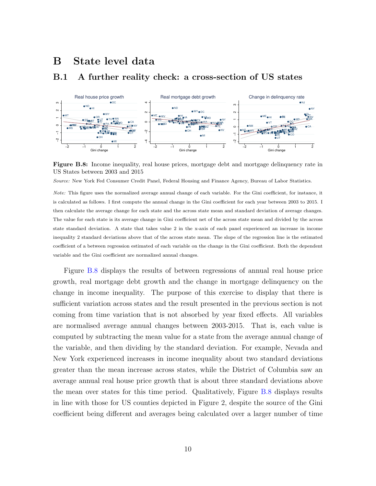## B State level data

#### B.1 A further reality check: a cross-section of US states

<span id="page-11-0"></span>

Figure B.8: Income inequality, real house prices, mortgage debt and mortgage delinquency rate in US States between 2003 and 2015

Source: New York Fed Consumer Credit Panel, Federal Housing and Finance Agency, Bureau of Labor Statistics.

 Note: This figure uses the normalized average annual change of each variable. For the Gini coefficient, for instance, it is calculated as follows. I first compute the annual change in the Gini coefficient for each year between 2003 to 2015. I then calculate the average change for each state and the across state mean and standard deviation of average changes. The value for each state is its average change in Gini coefficient net of the across state mean and divided by the across state standard deviation. A state that takes value 2 in the x-axis of each panel experienced an increase in income inequality 2 standard deviations above that of the across state mean. The slope of the regression line is the estimated coefficient of a between regression estimated of each variable on the change in the Gini coefficient. Both the dependent variable and the Gini coefficient are normalized annual changes.

 Figure [B.8](#page-11-0) displays the results of between regressions of annual real house price growth, real mortgage debt growth and the change in mortgage delinquency on the change in income inequality. The purpose of this exercise to display that there is sufficient variation across states and the result presented in the previous section is not coming from time variation that is not absorbed by year fixed effects. All variables are normalised average annual changes between 2003-2015. That is, each value is computed by subtracting the mean value for a state from the average annual change of the variable, and then dividing by the standard deviation. For example, Nevada and New York experienced increases in income inequality about two standard deviations greater than the mean increase across states, while the District of Columbia saw an average annual real house price growth that is about three standard deviations above the mean over states for this time period. Qualitatively, Figure [B.8](#page-11-0) displays results in line with those for US counties depicted in Figure 2, despite the source of the Gini coefficient being different and averages being calculated over a larger number of time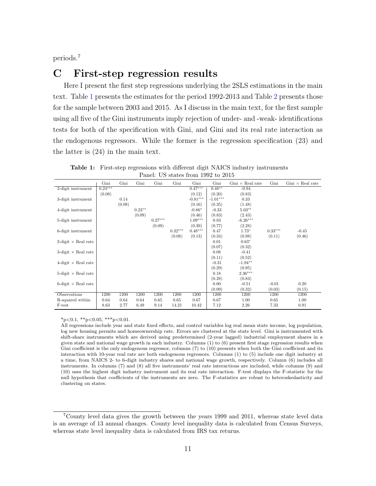periods.<sup>7</sup>

## C First-step regression results

 Here I present the first step regressions underlying the 2SLS estimations in the main text. Table [1](#page-12-0) presents the estimates for the period 1992-2013 and Table [2](#page-13-0) presents those for the sample between 2003 and 2015. As I discuss in the main text, for the first sample using all five of the Gini instruments imply rejection of under- and -weak- identifications tests for both of the specification with Gini, and Gini and its real rate interaction as the endogenous regressors. While the former is the regression specification (23) and the latter is (24) in the main text.

<span id="page-12-0"></span>

| 1 au t<br>$\overline{O}$ states home room to zoro |           |        |          |           |           |            |            |                         |           |                         |
|---------------------------------------------------|-----------|--------|----------|-----------|-----------|------------|------------|-------------------------|-----------|-------------------------|
|                                                   | Gini      | Gini   | Gini     | Gini      | Gini      | Gini       | Gini       | $Gini \times Real$ rate | Gini      | $Gini \times Real$ rate |
| 2-digit instrument                                | $0.24***$ |        |          |           |           | $0.47***$  | $0.48**$   | $-0.94$                 |           |                         |
|                                                   | (0.08)    |        |          |           |           | (0.12)     | (0.20)     | (0.83)                  |           |                         |
| 3-digit instrument                                |           | 0.14   |          |           |           | $-0.81***$ | $-1.01***$ | 0.33                    |           |                         |
|                                                   |           | (0.08) |          |           |           | (0.16)     | (0.35)     | (1.48)                  |           |                         |
| 4-digit instrument                                |           |        | $0.23**$ |           |           | $-0.86*$   | $-0.33$    | $5.03**$                |           |                         |
|                                                   |           |        | (0.09)   |           |           | (0.46)     | (0.83)     | (2.43)                  |           |                         |
| 5-digit instrument                                |           |        |          | $0.27***$ |           | $1.09***$  | 0.83       | $-6.26***$              |           |                         |
|                                                   |           |        |          | (0.09)    |           | (0.39)     | (0.77)     | (2.28)                  |           |                         |
| 6-digit instrument                                |           |        |          |           | $0.32***$ | $0.48***$  | 0.47       | $1.73*$                 | $0.33***$ | $-0.45$                 |
|                                                   |           |        |          |           | (0.08)    | (0.13)     | (0.34)     | (0.98)                  | (0.11)    | (0.46)                  |
| 2-digit $\times$ Real rate                        |           |        |          |           |           |            | 0.01       | $0.63*$                 |           |                         |
|                                                   |           |        |          |           |           |            | (0.07)     | (0.32)                  |           |                         |
| 3-digit $\times$ Real rate                        |           |        |          |           |           |            | 0.08       | $-0.41$                 |           |                         |
|                                                   |           |        |          |           |           |            | (0.11)     | (0.52)                  |           |                         |
| $4$ -digit $\times$ Real rate                     |           |        |          |           |           |            | $-0.31$    | $-1.94**$               |           |                         |
|                                                   |           |        |          |           |           |            | (0.29)     | (0.95)                  |           |                         |
| 5-digit $\times$ Real rate                        |           |        |          |           |           |            | 0.18       | $2.36***$               |           |                         |
|                                                   |           |        |          |           |           |            | (0.28)     | (0.83)                  |           |                         |
| 6-digit $\times$ Real rate                        |           |        |          |           |           |            | 0.00       | $-0.51$                 | $-0.01$   | 0.20                    |
|                                                   |           |        |          |           |           |            | (0.09)     | (0.32)                  | (0.03)    | (0.15)                  |
| Observations                                      | 1200      | 1200   | 1200     | 1200      | 1200      | 1200       | 1200       | 1200                    | 1200      | 1200                    |
| R-squared within                                  | 0.64      | 0.64   | 0.64     | 0.65      | 0.65      | 0.67       | 0.67       | 1.00                    | 0.65      | 1.00                    |
| F-test                                            | 8.63      | 2.77   | 6.49     | 9.14      | 14.21     | 10.42      | 7.12       | 2.26                    | 7.33      | 0.91                    |

 Table 1: First-step regressions with different digit NAICS industry instruments Panel: US states from 1992 to 2015

 $*_{p<0.1}$ ,  $*_{p<0.05}$ ,  $*_{p<0.01}$ .

 All regressions include year and state fixed effects, and control variables log real mean state income, log population, log new housing permits and homeownership rate. Errors are clustered at the state level. Gini is instrumented with shift-share instruments which are derived using predetermined (2-year lagged) industrial employment shares in a given state and national wage growth in each industry. Columns (1) to (6) present first stage regression results when Gini coefficient is the only endogenous regressor, columns (7) to (10) presents when both the Gini coefficient and its interaction with 10-year real rate are both endogenous regressors. Columns (1) to (5) include one digit industry at a time, from NAICS 2- to 6-digit industry shares and national wage growth, respectively. Column (6) includes all instruments. In columns (7) and (8) all five instruments' real rate interactions are included, while columns (9) and (10) uses the highest digit industry instrument and its real rate interaction. F-test displays the F-statistic for the null hypothesis that coefficients of the instruments are zero. The F-statistics are robust to heteroskedasticity and clustering on states.

<sup>&</sup>lt;sup>7</sup>County level data gives the growth between the years 1999 and 2011, whereas state level data is an average of 13 annual changes. County level inequality data is calculated from Census Surveys, whereas state level inequality data is calculated from IRS tax returns.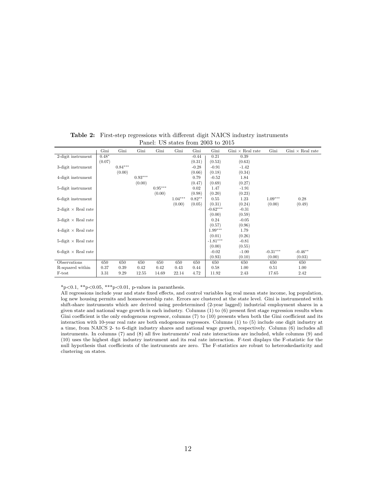|                               | Gini    | Gini      | Gini      | Gini      | Gini      | Gini     | Gini       | $Gini \times Real$ rate | Gini       | $Gini \times Real$ rate |
|-------------------------------|---------|-----------|-----------|-----------|-----------|----------|------------|-------------------------|------------|-------------------------|
| 2-digit instrument            | $0.48*$ |           |           |           |           | $-0.44$  | 0.21       | 0.39                    |            |                         |
|                               | (0.07)  |           |           |           |           | (0.31)   | (0.53)     | (0.63)                  |            |                         |
| 3-digit instrument            |         | $0.84***$ |           |           |           | $-0.28$  | $-0.91$    | $-1.42$                 |            |                         |
|                               |         | (0.00)    |           |           |           | (0.66)   | (0.18)     | (0.34)                  |            |                         |
| 4-digit instrument            |         |           | $0.93***$ |           |           | 0.79     | $-0.52$    | 1.84                    |            |                         |
|                               |         |           | (0.00)    |           |           | (0.47)   | (0.69)     | (0.27)                  |            |                         |
| 5-digit instrument            |         |           |           | $0.95***$ |           | 0.02     | 1.47       | $-1.91$                 |            |                         |
|                               |         |           |           | (0.00)    |           | (0.98)   | (0.20)     | (0.23)                  |            |                         |
| 6-digit instrument            |         |           |           |           | $1.04***$ | $0.82**$ | 0.55       | 1.23                    | $1.09***$  | 0.28                    |
|                               |         |           |           |           | (0.00)    | (0.05)   | (0.31)     | (0.24)                  | (0.00)     | (0.49)                  |
| 2-digit $\times$ Real rate    |         |           |           |           |           |          | $-0.62***$ | $-0.31$                 |            |                         |
|                               |         |           |           |           |           |          | (0.00)     | (0.59)                  |            |                         |
| 3-digit $\times$ Real rate    |         |           |           |           |           |          | 0.24       | $-0.05$                 |            |                         |
|                               |         |           |           |           |           |          | (0.57)     | (0.96)                  |            |                         |
| $4$ -digit $\times$ Real rate |         |           |           |           |           |          | $1.99***$  | 1.79                    |            |                         |
|                               |         |           |           |           |           |          | (0.01)     | (0.26)                  |            |                         |
| 5-digit $\times$ Real rate    |         |           |           |           |           |          | $-1.81***$ | $-0.81$                 |            |                         |
|                               |         |           |           |           |           |          | (0.00)     | (0.55)                  |            |                         |
| 6-digit $\times$ Real rate    |         |           |           |           |           |          | $-0.02$    | $-1.00$                 | $-0.31***$ | $-0.46**$               |
|                               |         |           |           |           |           |          | (0.93)     | (0.10)                  | (0.00)     | (0.03)                  |
| Observations                  | 650     | 650       | 650       | 650       | 650       | 650      | 650        | 650                     | 650        | 650                     |
| R-squared within              | 0.37    | 0.39      | 0.42      | 0.42      | 0.43      | 0.44     | 0.58       | 1.00                    | 0.51       | 1.00                    |
| F-test                        | 3.31    | 9.29      | 12.55     | 14.69     | 22.14     | 4.72     | 11.92      | 2.43                    | 17.65      | 2.42                    |

<span id="page-13-0"></span> Table 2: First-step regressions with different digit NAICS industry instruments Panel: US states from 2003 to 2015

 $*_{p<0.1}$ ,  $*_{p<0.05}$ ,  $**_{p<0.01}$ , p-values in paranthesis.

 All regressions include year and state fixed effects, and control variables log real mean state income, log population, log new housing permits and homeownership rate. Errors are clustered at the state level. Gini is instrumented with shift-share instruments which are derived using predetermined (2-year lagged) industrial employment shares in a given state and national wage growth in each industry. Columns (1) to (6) present first stage regression results when Gini coefficient is the only endogenous regressor, columns (7) to (10) presents when both the Gini coefficient and its interaction with 10-year real rate are both endogenous regressors. Columns (1) to (5) include one digit industry at a time, from NAICS 2- to 6-digit industry shares and national wage growth, respectively. Column (6) includes all instruments. In columns (7) and (8) all five instruments' real rate interactions are included, while columns (9) and (10) uses the highest digit industry instrument and its real rate interaction. F-test displays the F-statistic for the null hypothesis that coefficients of the instruments are zero. The F-statistics are robust to heteroskedasticity and clustering on states.